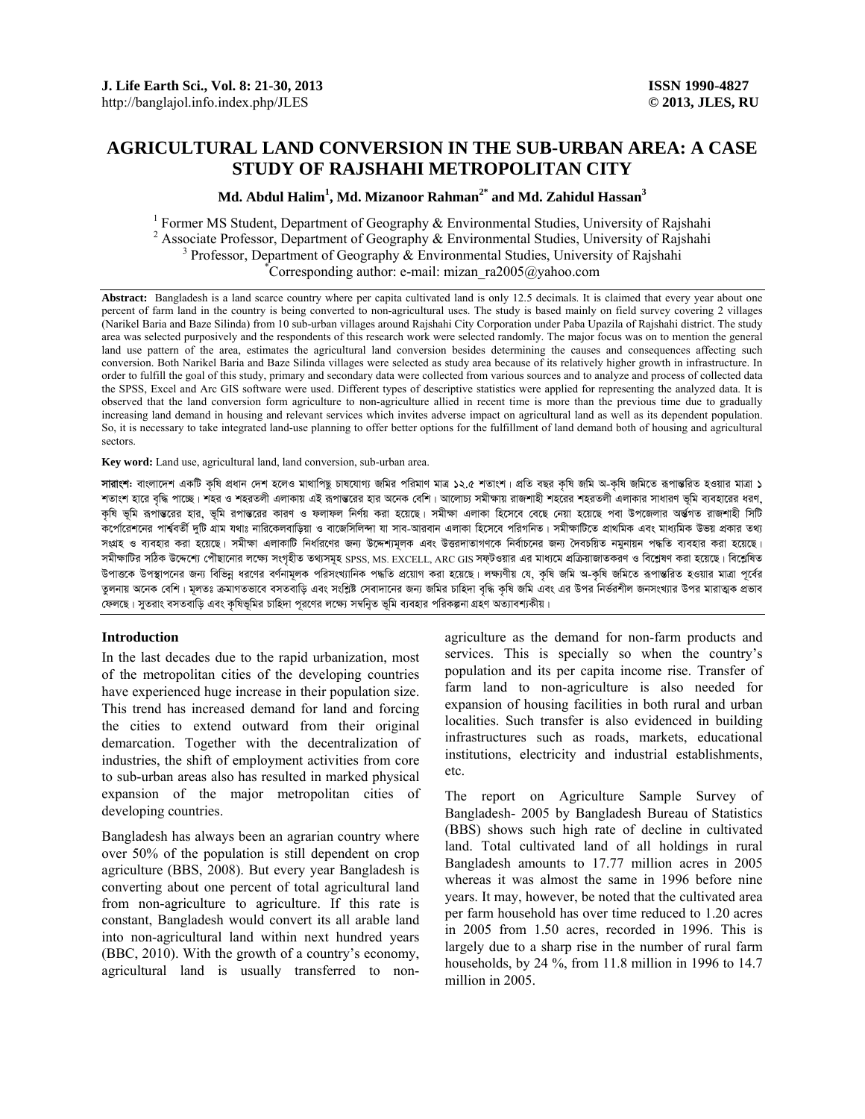# **AGRICULTURAL LAND CONVERSION IN THE SUB-URBAN AREA: A CASE STUDY OF RAJSHAHI METROPOLITAN CITY**

**Md. Abdul Halim<sup>1</sup> , Md. Mizanoor Rahman2\* and Md. Zahidul Hassan3**

<sup>1</sup> Former MS Student, Department of Geography  $\&$  Environmental Studies, University of Rajshahi <sup>2</sup> Associate Professor, Department of Geography & Environmental Studies, University of Rajshahi <sup>3</sup> Professor, Department of Geography & Environmental Studies, University of Rajshahi <sup>3</sup> Professor, Department of Geography & Environmental Studies, University of Rajshahi Corresponding author: e-mail: mizan\_ra2005@yahoo.com

Abstract: Bangladesh is a land scarce country where per capita cultivated land is only 12.5 decimals. It is claimed that every year about one percent of farm land in the country is being converted to non-agricultural uses. The study is based mainly on field survey covering 2 villages (Narikel Baria and Baze Silinda) from 10 sub-urban villages around Rajshahi City Corporation under Paba Upazila of Rajshahi district. The study area was selected purposively and the respondents of this research work were selected randomly. The major focus was on to mention the general land use pattern of the area, estimates the agricultural land conversion besides determining the causes and consequences affecting such conversion. Both Narikel Baria and Baze Silinda villages were selected as study area because of its relatively higher growth in infrastructure. In order to fulfill the goal of this study, primary and secondary data were collected from various sources and to analyze and process of collected data the SPSS, Excel and Arc GIS software were used. Different types of descriptive statistics were applied for representing the analyzed data. It is observed that the land conversion form agriculture to non-agriculture allied in recent time is more than the previous time due to gradually increasing land demand in housing and relevant services which invites adverse impact on agricultural land as well as its dependent population. So, it is necessary to take integrated land-use planning to offer better options for the fulfillment of land demand both of housing and agricultural sectors.

**Key word:** Land use, agricultural land, land conversion, sub-urban area.

**সারাংশ:** বাংলাদেশ একটি কৃষি প্রধান দেশ হলেও মাথাপিছূ চাষযোগ্য জমির পরিমাণ মাত্র ১২.৫ শতাংশ। প্রতি বছর কৃষি জনি অ-কৃষি জমিতে রূপান্তরিত হওয়ার মাত্রা ১ শতাংশ হারে বৃদ্ধি পাচ্ছে। শহর ও শহরতলী এলাকায় এই রূপা**ভ**রের হার অনেক বেশি। আলোচ্য সমীক্ষায় রাজশাহী শহরের শহরতলী এলাকার সাধারণ ভূমি ব্যবহারের ধরণ, কৃষি ভূমি রূপা**ভ**রের হার, ভূমি রপাভরের কারণ ও ফলাফল নির্ণয় করা হয়েছে। সমীক্ষা এলাকা হিসেবে বেছে দেয়া হয়েছে পবা উপজেলার অর্জপত রাজশাহী সিটি কৰ্পেৱেশনের পাৰ্শ্ববর্তী দুটি গ্রাম যথাঃ নারিকেলবাড়িয়া ও বাজেসিলিন্দা যা সাব-আরবান এলাকা হিসেবে পরিগনিত। সমীক্ষাটিতে প্রাথমিক এবং মাধ্যমিক উভয় প্রকার তথ্য সংগ্ৰহ ও ব্যবহার করা হয়েছে। সমীক্ষা এলাকাটি নির্ধারণের জন্য উদ্দেশ্যমূলক এবং উত্তরদাতাগণকে নির্বাচনের জন্য সৈবচয়িত নমুনায়ন পদ্ধতি ব্যবহার করা হয়েছে। সমীক্ষাটির সঠিক উদ্দেশ্যে পৌছানোর লক্ষ্যে সংগৃহীত তথ্যসমূহ SPSS, MS. EXCELL, ARC GIS সফ্টওয়ার এর মাধ্যমে প্রক্রিয়াজাতকরণ ও বিশ্লেষণ করা হয়েছে। বিশ্লেষিত উপাতকে উপস্থাপনের জন্য বিভিন্ন ধরণের বর্ণনামূলক পরিসংখ্যানিক পদ্ধতি প্রয়োগ করা হয়েছে। লক্ষণীয় যে, কৃষি জমি অ-কৃষি জমিতে রূপান্তরিত হওয়ার মাত্রা পূর্বের তুলনায় অনেক বেশি। মূলতঃ ক্ৰমাগতভাবে বসতবাড়ি এবং সংশ্লিষ্ট সেবাদানের জন্য জমির চাহিদা বৃদ্ধি কৃষি জমি এবং এর উপর নির্ভরশীল জনসংখ্যার উপর মারাত্মক প্রভাব কেলছে। সুতরাং বসতবাড়ি এবং কৃষিভূমির চাহিদা পূরণের লক্ষ্যে সম্বন্যুত ভূমি ব্যবহার পরিকল্পনা গ্রহণ অত্যাবশ্যকীয়।

## **Introduction**

In the last decades due to the rapid urbanization, most of the metropolitan cities of the developing countries have experienced huge increase in their population size. This trend has increased demand for land and forcing the cities to extend outward from their original demarcation. Together with the decentralization of industries, the shift of employment activities from core to sub-urban areas also has resulted in marked physical expansion of the major metropolitan cities of developing countries.

Bangladesh has always been an agrarian country where over 50% of the population is still dependent on crop agriculture (BBS, 2008). But every year Bangladesh is converting about one percent of total agricultural land from non-agriculture to agriculture. If this rate is constant, Bangladesh would convert its all arable land into non-agricultural land within next hundred years (BBC, 2010). With the growth of a country's economy, agricultural land is usually transferred to nonagriculture as the demand for non-farm products and services. This is specially so when the country's population and its per capita income rise. Transfer of farm land to non-agriculture is also needed for expansion of housing facilities in both rural and urban localities. Such transfer is also evidenced in building infrastructures such as roads, markets, educational institutions, electricity and industrial establishments, etc.

The report on Agriculture Sample Survey of Bangladesh- 2005 by Bangladesh Bureau of Statistics (BBS) shows such high rate of decline in cultivated land. Total cultivated land of all holdings in rural Bangladesh amounts to 17.77 million acres in 2005 whereas it was almost the same in 1996 before nine years. It may, however, be noted that the cultivated area per farm household has over time reduced to 1.20 acres in 2005 from 1.50 acres, recorded in 1996. This is largely due to a sharp rise in the number of rural farm households, by 24 %, from 11.8 million in 1996 to 14.7 million in 2005.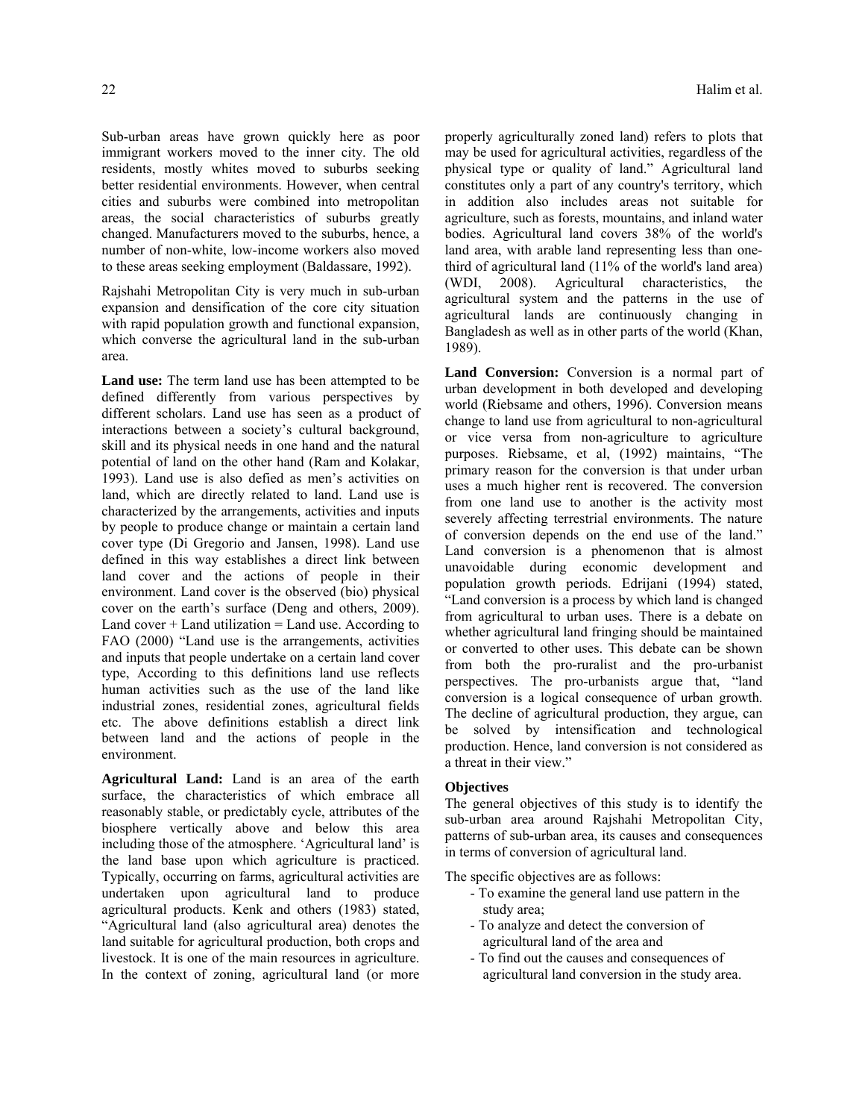Sub-urban areas have grown quickly here as poor immigrant workers moved to the inner city. The old residents, mostly whites moved to suburbs seeking better residential environments. However, when central cities and suburbs were combined into metropolitan areas, the social characteristics of suburbs greatly changed. Manufacturers moved to the suburbs, hence, a number of non-white, low-income workers also moved to these areas seeking employment (Baldassare, 1992).

Rajshahi Metropolitan City is very much in sub-urban expansion and densification of the core city situation with rapid population growth and functional expansion, which converse the agricultural land in the sub-urban area.

Land use: The term land use has been attempted to be defined differently from various perspectives by different scholars. Land use has seen as a product of interactions between a society's cultural background, skill and its physical needs in one hand and the natural potential of land on the other hand (Ram and Kolakar, 1993). Land use is also defied as men's activities on land, which are directly related to land. Land use is characterized by the arrangements, activities and inputs by people to produce change or maintain a certain land cover type (Di Gregorio and Jansen, 1998). Land use defined in this way establishes a direct link between land cover and the actions of people in their environment. Land cover is the observed (bio) physical cover on the earth's surface (Deng and others, 2009). Land  $cover + Land$  utilization = Land use. According to FAO (2000) "Land use is the arrangements, activities and inputs that people undertake on a certain land cover type, According to this definitions land use reflects human activities such as the use of the land like industrial zones, residential zones, agricultural fields etc. The above definitions establish a direct link between land and the actions of people in the environment.

**Agricultural Land:** Land is an area of the earth surface, the characteristics of which embrace all reasonably stable, or predictably cycle, attributes of the biosphere vertically above and below this area including those of the atmosphere. 'Agricultural land' is the land base upon which agriculture is practiced. Typically, occurring on farms, agricultural activities are undertaken upon agricultural land to produce agricultural products. Kenk and others (1983) stated, "Agricultural land (also agricultural area) denotes the land suitable for agricultural production, both crops and livestock. It is one of the main resources in agriculture. In the context of zoning, agricultural land (or more properly agriculturally zoned land) refers to plots that may be used for agricultural activities, regardless of the physical type or quality of land." Agricultural land constitutes only a part of any country's territory, which in addition also includes areas not suitable for agriculture, such as forests, mountains, and inland water bodies. Agricultural land covers 38% of the world's land area, with arable land representing less than onethird of agricultural land (11% of the world's land area) (WDI, 2008). Agricultural characteristics, the agricultural system and the patterns in the use of agricultural lands are continuously changing in Bangladesh as well as in other parts of the world (Khan, 1989).

Land Conversion: Conversion is a normal part of urban development in both developed and developing world (Riebsame and others, 1996). Conversion means change to land use from agricultural to non-agricultural or vice versa from non-agriculture to agriculture purposes. Riebsame, et al, (1992) maintains, "The primary reason for the conversion is that under urban uses a much higher rent is recovered. The conversion from one land use to another is the activity most severely affecting terrestrial environments. The nature of conversion depends on the end use of the land." Land conversion is a phenomenon that is almost unavoidable during economic development and population growth periods. Edrijani (1994) stated, "Land conversion is a process by which land is changed from agricultural to urban uses. There is a debate on whether agricultural land fringing should be maintained or converted to other uses. This debate can be shown from both the pro-ruralist and the pro-urbanist perspectives. The pro-urbanists argue that, "land conversion is a logical consequence of urban growth. The decline of agricultural production, they argue, can be solved by intensification and technological production. Hence, land conversion is not considered as a threat in their view."

#### **Objectives**

The general objectives of this study is to identify the sub-urban area around Rajshahi Metropolitan City, patterns of sub-urban area, its causes and consequences in terms of conversion of agricultural land.

The specific objectives are as follows:

- To examine the general land use pattern in the study area;
- To analyze and detect the conversion of agricultural land of the area and
- To find out the causes and consequences of agricultural land conversion in the study area.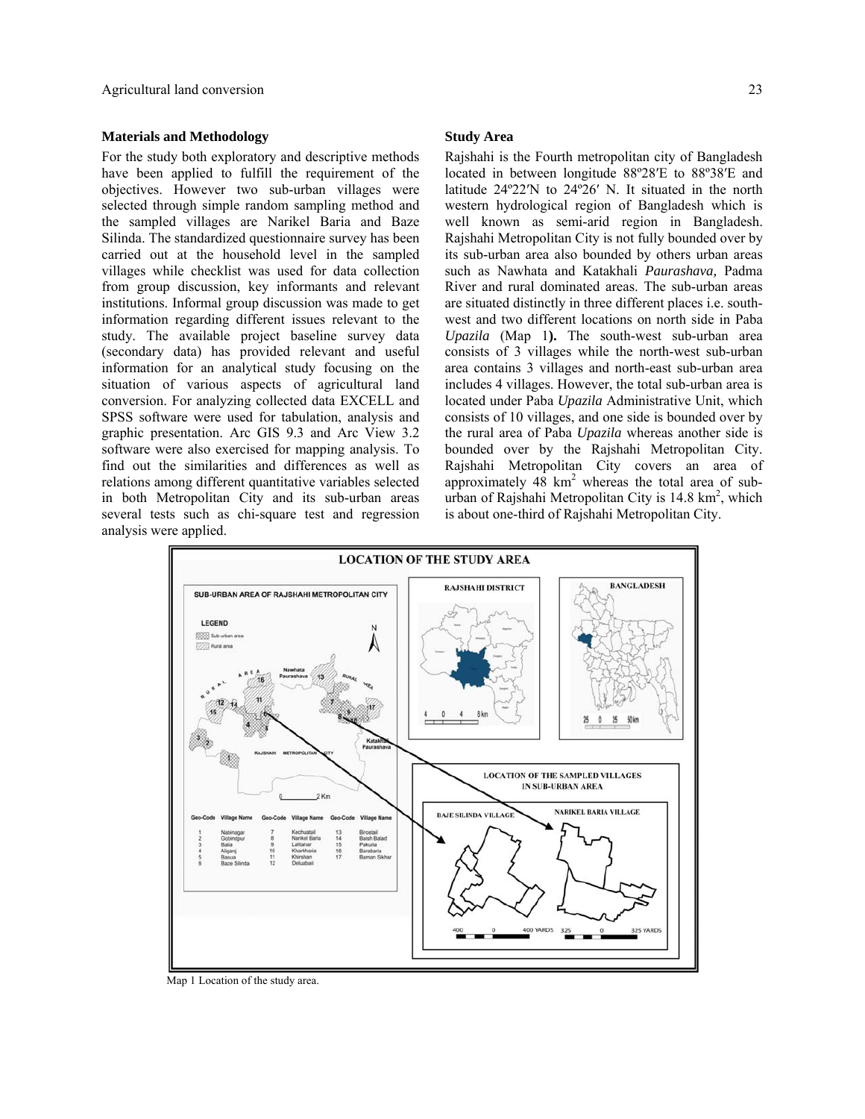#### **Materials and Methodology**

For the study both exploratory and descriptive methods have been applied to fulfill the requirement of the objectives. However two sub-urban villages were selected through simple random sampling method and the sampled villages are Narikel Baria and Baze Silinda. The standardized questionnaire survey has been carried out at the household level in the sampled villages while checklist was used for data collection from group discussion, key informants and relevant institutions. Informal group discussion was made to get information regarding different issues relevant to the study. The available project baseline survey data (secondary data) has provided relevant and useful information for an analytical study focusing on the situation of various aspects of agricultural land conversion. For analyzing collected data EXCELL and SPSS software were used for tabulation, analysis and graphic presentation. Arc GIS 9.3 and Arc View 3.2 software were also exercised for mapping analysis. To find out the similarities and differences as well as relations among different quantitative variables selected in both Metropolitan City and its sub-urban areas several tests such as chi-square test and regression analysis were applied.

#### **Study Area**

Rajshahi is the Fourth metropolitan city of Bangladesh located in between longitude 88º28′E to 88º38′E and latitude 24º22′N to 24º26′ N. It situated in the north western hydrological region of Bangladesh which is well known as semi-arid region in Bangladesh. Rajshahi Metropolitan City is not fully bounded over by its sub-urban area also bounded by others urban areas such as Nawhata and Katakhali *Paurashava,* Padma River and rural dominated areas. The sub-urban areas are situated distinctly in three different places i.e. southwest and two different locations on north side in Paba *Upazila* (Map 1**).** The south-west sub-urban area consists of 3 villages while the north-west sub-urban area contains 3 villages and north-east sub-urban area includes 4 villages. However, the total sub-urban area is located under Paba *Upazila* Administrative Unit, which consists of 10 villages, and one side is bounded over by the rural area of Paba *Upazila* whereas another side is bounded over by the Rajshahi Metropolitan City. Rajshahi Metropolitan City covers an area of approximately  $48 \text{ km}^2$  whereas the total area of suburban of Rajshahi Metropolitan City is 14.8 km<sup>2</sup>, which is about one-third of Rajshahi Metropolitan City.



Map 1 Location of the study area.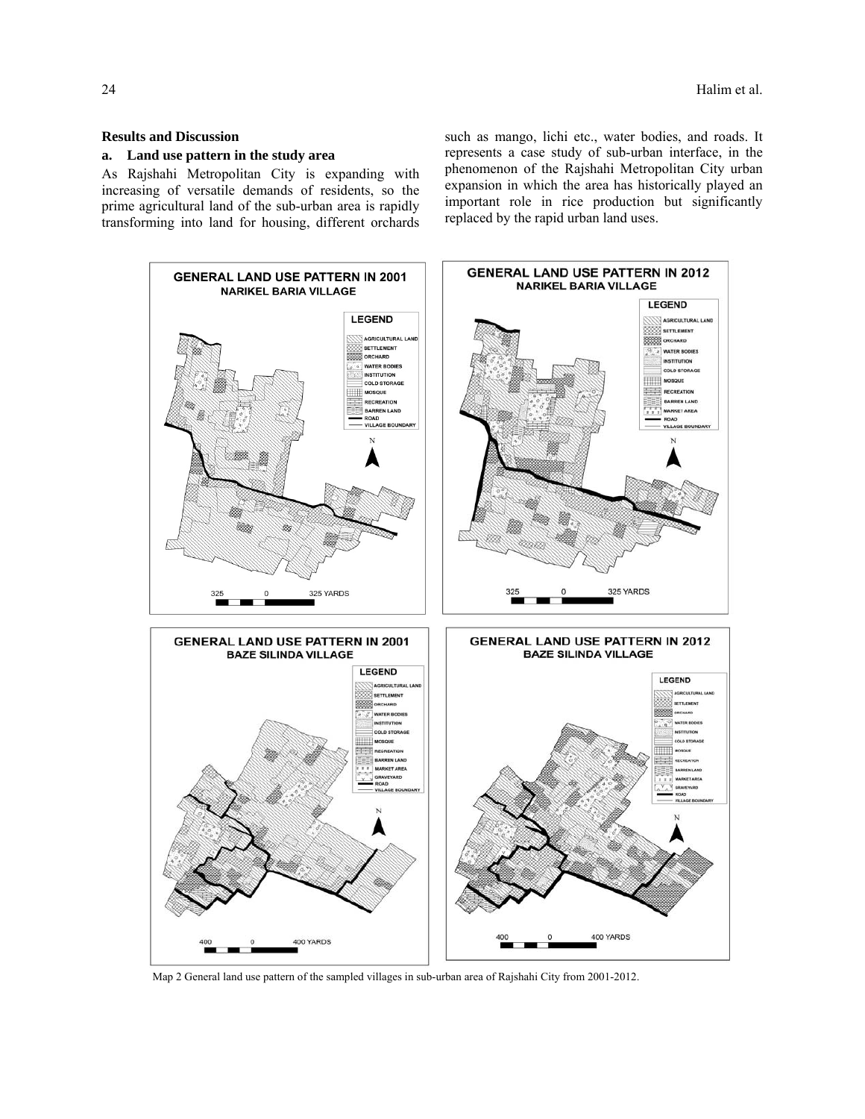## **Results and Discussion**

## **a. Land use pattern in the study area**

As Rajshahi Metropolitan City is expanding with increasing of versatile demands of residents, so the prime agricultural land of the sub-urban area is rapidly transforming into land for housing, different orchards such as mango, lichi etc., water bodies, and roads. It represents a case study of sub-urban interface, in the phenomenon of the Rajshahi Metropolitan City urban expansion in which the area has historically played an important role in rice production but significantly replaced by the rapid urban land uses.



Map 2 General land use pattern of the sampled villages in sub-urban area of Rajshahi City from 2001-2012.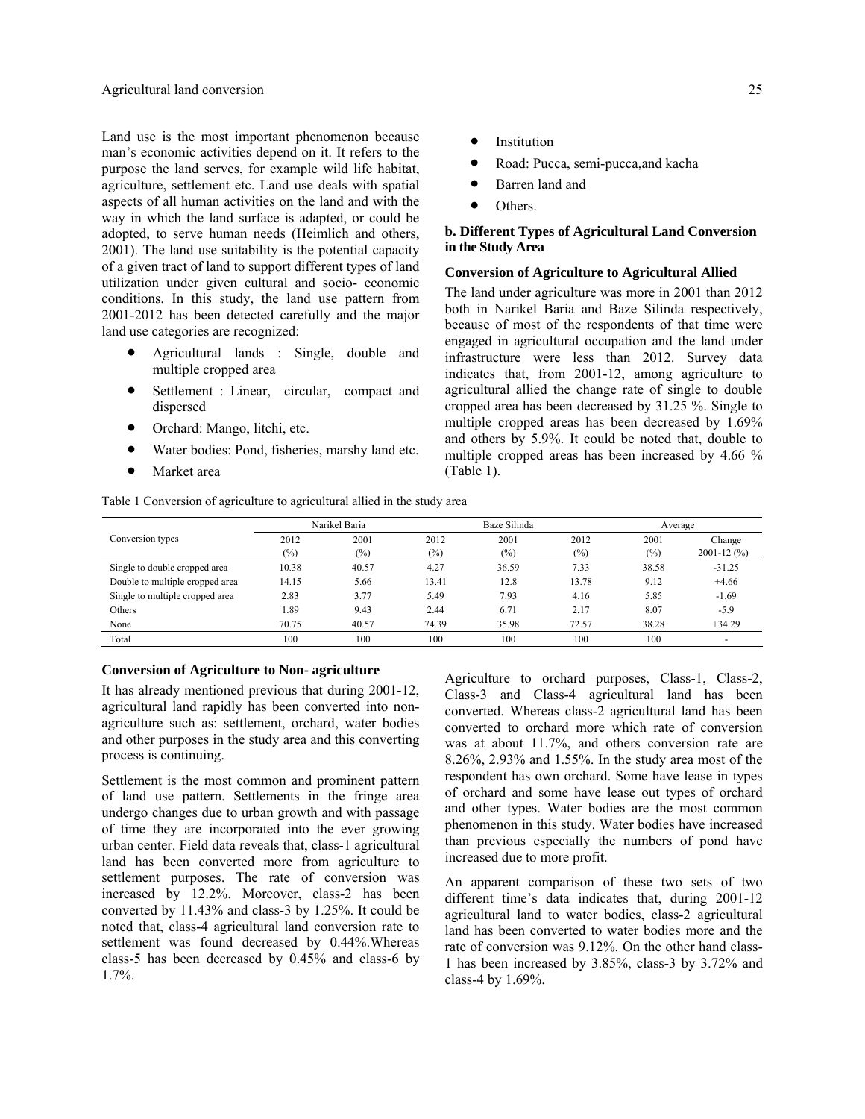Land use is the most important phenomenon because man's economic activities depend on it. It refers to the purpose the land serves, for example wild life habitat, agriculture, settlement etc. Land use deals with spatial aspects of all human activities on the land and with the way in which the land surface is adapted, or could be adopted, to serve human needs (Heimlich and others, 2001). The land use suitability is the potential capacity of a given tract of land to support different types of land utilization under given cultural and socio- economic conditions. In this study, the land use pattern from 2001-2012 has been detected carefully and the major land use categories are recognized:

- Agricultural lands : Single, double and multiple cropped area
- Settlement : Linear, circular, compact and dispersed
- Orchard: Mango, litchi, etc.
- Water bodies: Pond, fisheries, marshy land etc.

Table 1 Conversion of agriculture to agricultural allied in the study area

• Market area

- **Institution**
- Road: Pucca, semi-pucca,and kacha
- Barren land and
- Others.

## **b. Different Types of Agricultural Land Conversion in the Study Area**

#### **Conversion of Agriculture to Agricultural Allied**

The land under agriculture was more in 2001 than 2012 both in Narikel Baria and Baze Silinda respectively, because of most of the respondents of that time were engaged in agricultural occupation and the land under infrastructure were less than 2012. Survey data indicates that, from 2001-12, among agriculture to agricultural allied the change rate of single to double cropped area has been decreased by 31.25 %. Single to multiple cropped areas has been decreased by 1.69% and others by 5.9%. It could be noted that, double to multiple cropped areas has been increased by 4.66 % (Table 1).

|                                 | Narikel Baria |        | Baze Silinda |        |       | Average |                |
|---------------------------------|---------------|--------|--------------|--------|-------|---------|----------------|
| Conversion types                | 2012          | 2001   | 2012         | 2001   | 2012  | 2001    | Change         |
|                                 | (%)           | $(\%)$ | $(\%)$       | $(\%)$ | (%)   | $(\%)$  | $2001 - 12(%)$ |
| Single to double cropped area   | 10.38         | 40.57  | 4.27         | 36.59  | 7.33  | 38.58   | $-31.25$       |
| Double to multiple cropped area | 14.15         | 5.66   | 13.41        | 12.8   | 13.78 | 9.12    | $+4.66$        |
| Single to multiple cropped area | 2.83          | 3.77   | 5.49         | 7.93   | 4.16  | 5.85    | $-1.69$        |
| Others                          | 1.89          | 9.43   | 2.44         | 6.71   | 2.17  | 8.07    | $-5.9$         |
| None                            | 70.75         | 40.57  | 74.39        | 35.98  | 72.57 | 38.28   | $+34.29$       |
| Total                           | 100           | 100    | 100          | 100    | 100   | 100     |                |

#### **Conversion of Agriculture to Non- agriculture**

It has already mentioned previous that during 2001-12, agricultural land rapidly has been converted into nonagriculture such as: settlement, orchard, water bodies and other purposes in the study area and this converting process is continuing.

Settlement is the most common and prominent pattern of land use pattern. Settlements in the fringe area undergo changes due to urban growth and with passage of time they are incorporated into the ever growing urban center. Field data reveals that, class-1 agricultural land has been converted more from agriculture to settlement purposes. The rate of conversion was increased by 12.2%. Moreover, class-2 has been converted by 11.43% and class-3 by 1.25%. It could be noted that, class-4 agricultural land conversion rate to settlement was found decreased by 0.44%.Whereas class-5 has been decreased by 0.45% and class-6 by 1.7%.

Agriculture to orchard purposes, Class-1, Class-2, Class-3 and Class-4 agricultural land has been converted. Whereas class-2 agricultural land has been converted to orchard more which rate of conversion was at about 11.7%, and others conversion rate are 8.26%, 2.93% and 1.55%. In the study area most of the respondent has own orchard. Some have lease in types of orchard and some have lease out types of orchard and other types. Water bodies are the most common phenomenon in this study. Water bodies have increased than previous especially the numbers of pond have increased due to more profit.

An apparent comparison of these two sets of two different time's data indicates that, during 2001-12 agricultural land to water bodies, class-2 agricultural land has been converted to water bodies more and the rate of conversion was 9.12%. On the other hand class-1 has been increased by 3.85%, class-3 by 3.72% and class-4 by 1.69%.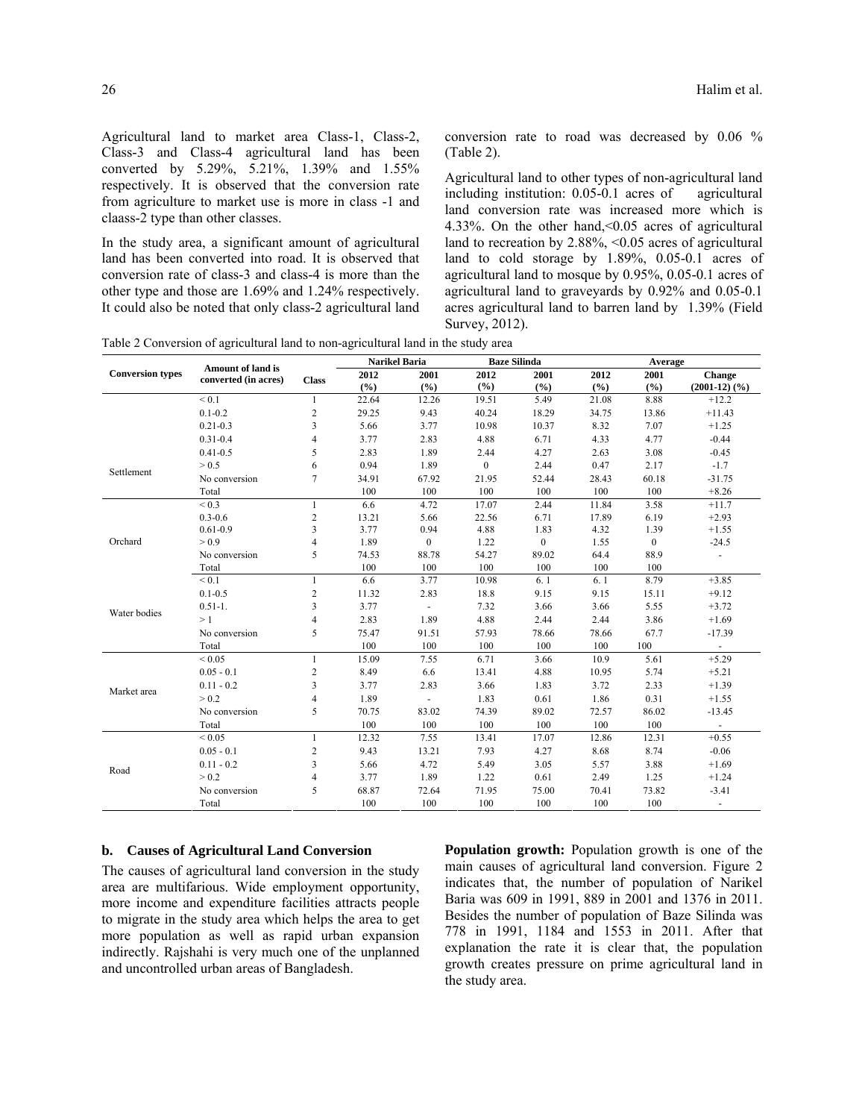Agricultural land to market area Class-1, Class-2, Class-3 and Class-4 agricultural land has been converted by 5.29%, 5.21%, 1.39% and 1.55% respectively. It is observed that the conversion rate from agriculture to market use is more in class -1 and claass-2 type than other classes.

In the study area, a significant amount of agricultural land has been converted into road. It is observed that conversion rate of class-3 and class-4 is more than the other type and those are 1.69% and 1.24% respectively. It could also be noted that only class-2 agricultural land conversion rate to road was decreased by 0.06 % (Table 2).

Agricultural land to other types of non-agricultural land including institution: 0.05-0.1 acres of agricultural land conversion rate was increased more which is 4.33%. On the other hand,<0.05 acres of agricultural land to recreation by  $2.88\%$ , <0.05 acres of agricultural land to cold storage by 1.89%, 0.05-0.1 acres of agricultural land to mosque by 0.95%, 0.05-0.1 acres of agricultural land to graveyards by 0.92% and 0.05-0.1 acres agricultural land to barren land by 1.39% (Field Survey, 2012).

Table 2 Conversion of agricultural land to non-agricultural land in the study area

|                         |                                                  |                         | <b>Narikel Baria</b> |                | <b>Baze Silinda</b> |                  | Average |                |                          |
|-------------------------|--------------------------------------------------|-------------------------|----------------------|----------------|---------------------|------------------|---------|----------------|--------------------------|
| <b>Conversion types</b> | <b>Amount of land is</b><br>converted (in acres) | <b>Class</b>            | 2012                 | 2001           | 2012                | 2001             | 2012    | 2001           | <b>Change</b>            |
|                         |                                                  |                         | (9/6)                | (%)            | (%)                 | (°/°)            | (%)     | (9/6)          | $(2001-12)$ $(%$         |
|                         | ${}_{0.1}$                                       | $\mathbf{1}$            | 22.64                | 12.26          | 19.51               | 5.49             | 21.08   | 8.88           | $+12.2$                  |
|                         | $0.1 - 0.2$                                      | $\sqrt{2}$              | 29.25                | 9.43           | 40.24               | 18.29            | 34.75   | 13.86          | $+11.43$                 |
|                         | $0.21 - 0.3$                                     | $\overline{\mathbf{3}}$ | 5.66                 | 3.77           | 10.98               | 10.37            | 8.32    | 7.07           | $+1.25$                  |
|                         | $0.31 - 0.4$                                     | $\overline{4}$          | 3.77                 | 2.83           | 4.88                | 6.71             | 4.33    | 4.77           | $-0.44$                  |
|                         | $0.41 - 0.5$                                     | 5                       | 2.83                 | 1.89           | 2.44                | 4.27             | 2.63    | 3.08           | $-0.45$                  |
| Settlement              | > 0.5                                            | 6                       | 0.94                 | 1.89           | $\mathbf{0}$        | 2.44             | 0.47    | 2.17           | $-1.7$                   |
|                         | No conversion                                    | $\tau$                  | 34.91                | 67.92          | 21.95               | 52.44            | 28.43   | 60.18          | $-31.75$                 |
|                         | Total                                            |                         | 100                  | 100            | 100                 | 100              | 100     | 100            | $+8.26$                  |
|                         | ${}_{0.3}$                                       | $\mathbf{1}$            | 6.6                  | 4.72           | 17.07               | 2.44             | 11.84   | 3.58           | $+11.7$                  |
|                         | $0.3 - 0.6$                                      | $\overline{c}$          | 13.21                | 5.66           | 22.56               | 6.71             | 17.89   | 6.19           | $+2.93$                  |
|                         | $0.61 - 0.9$                                     | 3                       | 3.77                 | 0.94           | 4.88                | 1.83             | 4.32    | 1.39           | $+1.55$                  |
| Orchard                 | > 0.9                                            | $\overline{4}$          | 1.89                 | $\mathbf{0}$   | 1.22                | $\boldsymbol{0}$ | 1.55    | $\overline{0}$ | $-24.5$                  |
|                         | No conversion                                    | 5                       | 74.53                | 88.78          | 54.27               | 89.02            | 64.4    | 88.9           |                          |
|                         | Total                                            |                         | 100                  | 100            | 100                 | 100              | 100     | 100            |                          |
|                         | ${}_{0.1}$                                       | $\mathbf{1}$            | 6.6                  | 3.77           | 10.98               | 6.1              | 6.1     | 8.79           | $+3.85$                  |
|                         | $0.1 - 0.5$                                      | $\overline{c}$          | 11.32                | 2.83           | 18.8                | 9.15             | 9.15    | 15.11          | $+9.12$                  |
| Water bodies            | $0.51 - 1.$                                      | 3                       | 3.77                 | $\blacksquare$ | 7.32                | 3.66             | 3.66    | 5.55           | $+3.72$                  |
|                         | >1                                               | $\overline{4}$          | 2.83                 | 1.89           | 4.88                | 2.44             | 2.44    | 3.86           | $+1.69$                  |
|                         | No conversion                                    | 5                       | 75.47                | 91.51          | 57.93               | 78.66            | 78.66   | 67.7           | $-17.39$                 |
|                         | Total                                            |                         | 100                  | 100            | 100                 | 100              | 100     | 100            | $\omega$                 |
|                         | ${}_{0.05}$                                      | $\mathbf{1}$            | 15.09                | 7.55           | 6.71                | 3.66             | 10.9    | 5.61           | $+5.29$                  |
|                         | $0.05 - 0.1$                                     | $\overline{2}$          | 8.49                 | 6.6            | 13.41               | 4.88             | 10.95   | 5.74           | $+5.21$                  |
| Market area             | $0.11 - 0.2$                                     | $\overline{\mathbf{3}}$ | 3.77                 | 2.83           | 3.66                | 1.83             | 3.72    | 2.33           | $+1.39$                  |
|                         | > 0.2                                            | $\overline{4}$          | 1.89                 | ä,             | 1.83                | 0.61             | 1.86    | 0.31           | $+1.55$                  |
|                         | No conversion                                    | 5                       | 70.75                | 83.02          | 74.39               | 89.02            | 72.57   | 86.02          | $-13.45$                 |
|                         | Total                                            |                         | 100                  | 100            | 100                 | 100              | 100     | 100            | $\blacksquare$           |
| Road                    | ${}_{0.05}$                                      | $\mathbf{1}$            | 12.32                | 7.55           | 13.41               | 17.07            | 12.86   | 12.31          | $+0.55$                  |
|                         | $0.05 - 0.1$                                     | $\overline{c}$          | 9.43                 | 13.21          | 7.93                | 4.27             | 8.68    | 8.74           | $-0.06$                  |
|                         | $0.11 - 0.2$                                     | 3                       | 5.66                 | 4.72           | 5.49                | 3.05             | 5.57    | 3.88           | $+1.69$                  |
|                         | > 0.2                                            | 4                       | 3.77                 | 1.89           | 1.22                | 0.61             | 2.49    | 1.25           | $+1.24$                  |
|                         | No conversion                                    | 5                       | 68.87                | 72.64          | 71.95               | 75.00            | 70.41   | 73.82          | $-3.41$                  |
|                         | Total                                            |                         | 100                  | 100            | 100                 | 100              | 100     | 100            | $\overline{\phantom{a}}$ |

#### **b. Causes of Agricultural Land Conversion**

The causes of agricultural land conversion in the study area are multifarious. Wide employment opportunity, more income and expenditure facilities attracts people to migrate in the study area which helps the area to get more population as well as rapid urban expansion indirectly. Rajshahi is very much one of the unplanned and uncontrolled urban areas of Bangladesh.

**Population growth:** Population growth is one of the main causes of agricultural land conversion. Figure 2 indicates that, the number of population of Narikel Baria was 609 in 1991, 889 in 2001 and 1376 in 2011. Besides the number of population of Baze Silinda was 778 in 1991, 1184 and 1553 in 2011. After that explanation the rate it is clear that, the population growth creates pressure on prime agricultural land in the study area.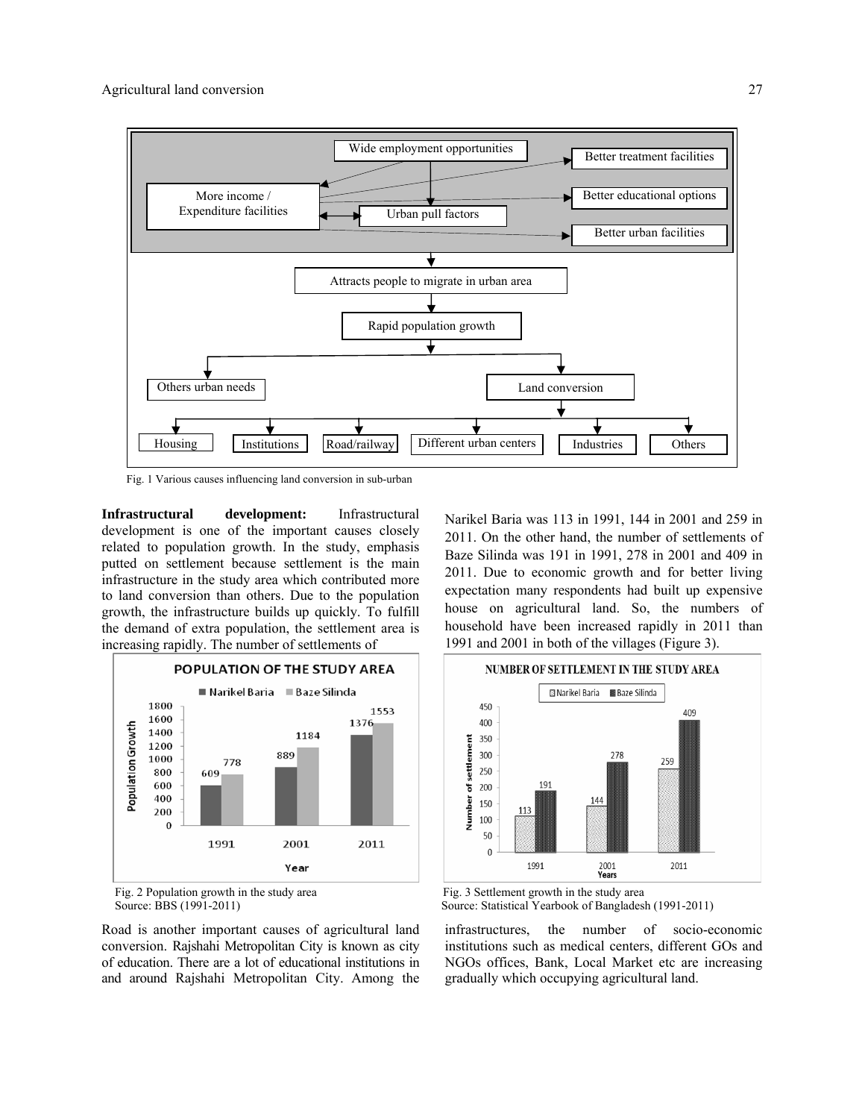

Fig. 1 Various causes influencing land conversion in sub-urban

**Infrastructural development:** Infrastructural development is one of the important causes closely related to population growth. In the study, emphasis putted on settlement because settlement is the main infrastructure in the study area which contributed more to land conversion than others. Due to the population growth, the infrastructure builds up quickly. To fulfill the demand of extra population, the settlement area is increasing rapidly. The number of settlements of





Road is another important causes of agricultural land conversion. Rajshahi Metropolitan City is known as city of education. There are a lot of educational institutions in and around Rajshahi Metropolitan City. Among the Narikel Baria was 113 in 1991, 144 in 2001 and 259 in 2011. On the other hand, the number of settlements of Baze Silinda was 191 in 1991, 278 in 2001 and 409 in 2011. Due to economic growth and for better living expectation many respondents had built up expensive house on agricultural land. So, the numbers of household have been increased rapidly in 2011 than 1991 and 2001 in both of the villages (Figure 3).



Source: BBS (1991-2011) Source: Statistical Yearbook of Bangladesh (1991-2011)

infrastructures, the number of socio-economic institutions such as medical centers, different GOs and NGOs offices, Bank, Local Market etc are increasing gradually which occupying agricultural land.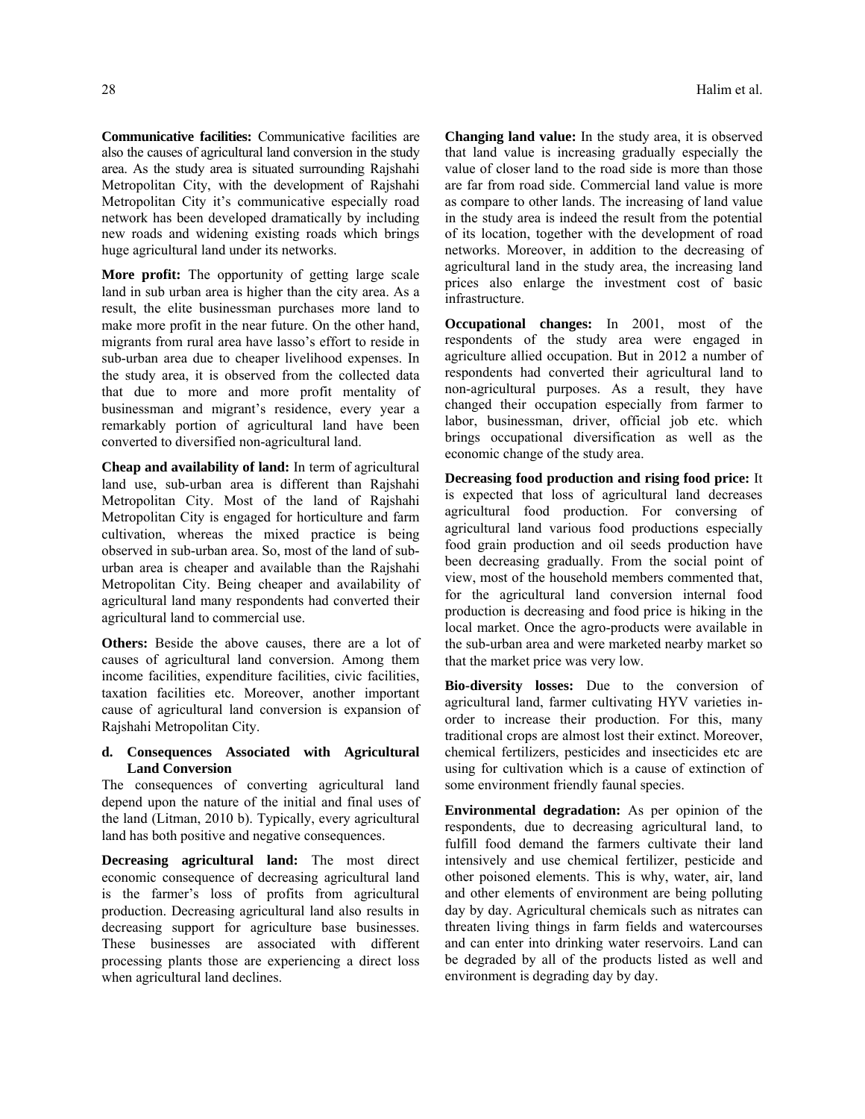**Communicative facilities:** Communicative facilities are also the causes of agricultural land conversion in the study area. As the study area is situated surrounding Rajshahi Metropolitan City, with the development of Rajshahi Metropolitan City it's communicative especially road network has been developed dramatically by including new roads and widening existing roads which brings huge agricultural land under its networks.

**More profit:** The opportunity of getting large scale land in sub urban area is higher than the city area. As a result, the elite businessman purchases more land to make more profit in the near future. On the other hand, migrants from rural area have lasso's effort to reside in sub-urban area due to cheaper livelihood expenses. In the study area, it is observed from the collected data that due to more and more profit mentality of businessman and migrant's residence, every year a remarkably portion of agricultural land have been converted to diversified non-agricultural land.

**Cheap and availability of land:** In term of agricultural land use, sub-urban area is different than Rajshahi Metropolitan City. Most of the land of Rajshahi Metropolitan City is engaged for horticulture and farm cultivation, whereas the mixed practice is being observed in sub-urban area. So, most of the land of suburban area is cheaper and available than the Rajshahi Metropolitan City. Being cheaper and availability of agricultural land many respondents had converted their agricultural land to commercial use.

**Others:** Beside the above causes, there are a lot of causes of agricultural land conversion. Among them income facilities, expenditure facilities, civic facilities, taxation facilities etc. Moreover, another important cause of agricultural land conversion is expansion of Rajshahi Metropolitan City.

### **d. Consequences Associated with Agricultural Land Conversion**

The consequences of converting agricultural land depend upon the nature of the initial and final uses of the land (Litman, 2010 b). Typically, every agricultural land has both positive and negative consequences.

**Decreasing agricultural land:** The most direct economic consequence of decreasing agricultural land is the farmer's loss of profits from agricultural production. Decreasing agricultural land also results in decreasing support for agriculture base businesses. These businesses are associated with different processing plants those are experiencing a direct loss when agricultural land declines.

**Changing land value:** In the study area, it is observed that land value is increasing gradually especially the value of closer land to the road side is more than those are far from road side. Commercial land value is more as compare to other lands. The increasing of land value in the study area is indeed the result from the potential of its location, together with the development of road networks. Moreover, in addition to the decreasing of agricultural land in the study area, the increasing land prices also enlarge the investment cost of basic infrastructure.

**Occupational changes:** In 2001, most of the respondents of the study area were engaged in agriculture allied occupation. But in 2012 a number of respondents had converted their agricultural land to non-agricultural purposes. As a result, they have changed their occupation especially from farmer to labor, businessman, driver, official job etc. which brings occupational diversification as well as the economic change of the study area.

**Decreasing food production and rising food price:** It is expected that loss of agricultural land decreases agricultural food production. For conversing of agricultural land various food productions especially food grain production and oil seeds production have been decreasing gradually. From the social point of view, most of the household members commented that, for the agricultural land conversion internal food production is decreasing and food price is hiking in the local market. Once the agro-products were available in the sub-urban area and were marketed nearby market so that the market price was very low.

**Bio-diversity losses:** Due to the conversion of agricultural land, farmer cultivating HYV varieties inorder to increase their production. For this, many traditional crops are almost lost their extinct. Moreover, chemical fertilizers, pesticides and insecticides etc are using for cultivation which is a cause of extinction of some environment friendly faunal species.

**Environmental degradation:** As per opinion of the respondents, due to decreasing agricultural land, to fulfill food demand the farmers cultivate their land intensively and use chemical fertilizer, pesticide and other poisoned elements. This is why, water, air, land and other elements of environment are being polluting day by day. Agricultural chemicals such as nitrates can threaten living things in farm fields and watercourses and can enter into drinking water reservoirs. Land can be degraded by all of the products listed as well and environment is degrading day by day.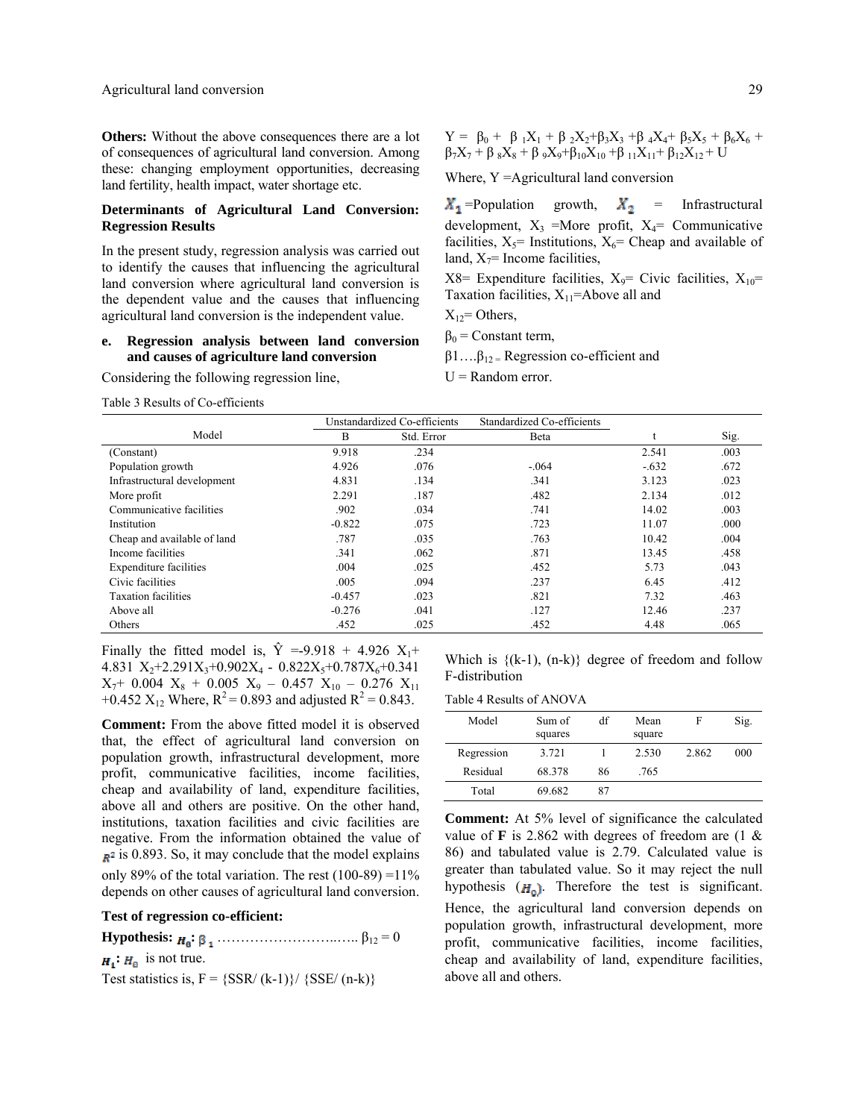**Others:** Without the above consequences there are a lot of consequences of agricultural land conversion. Among these: changing employment opportunities, decreasing land fertility, health impact, water shortage etc.

#### **Determinants of Agricultural Land Conversion: Regression Results**

In the present study, regression analysis was carried out to identify the causes that influencing the agricultural land conversion where agricultural land conversion is the dependent value and the causes that influencing agricultural land conversion is the independent value.

### **e. Regression analysis between land conversion and causes of agriculture land conversion**

Considering the following regression line,

 $Y = \beta_0 + \beta_1 X_1 + \beta_2 X_2 + \beta_3 X_3 + \beta_4 X_4 + \beta_5 X_5 + \beta_6 X_6 +$  $\beta_7X_7 + \beta_8X_8 + \beta_9X_9 + \beta_{10}X_{10} + \beta_{11}X_{11} + \beta_{12}X_{12} + U$ 

Where, Y = Agricultural land conversion

 $X_1$ =Population growth,  $X_2$  = Infrastructural development,  $X_3$  =More profit,  $X_4$ = Communicative facilities,  $X_5$ = Institutions,  $X_6$ = Cheap and available of land,  $X_7$ = Income facilities,

 $X8=$  Expenditure facilities,  $X_9=$  Civic facilities,  $X_{10}=$ Taxation facilities,  $X_{11}$ =Above all and

 $X_{12}$ = Others,

 $\beta_0$  = Constant term,

 $β1...β<sub>12</sub>$  = Regression co-efficient and

 $U =$ Random error.

Table 3 Results of Co-efficients

|                             |          | Unstandardized Co-efficients | Standardized Co-efficients |         |      |
|-----------------------------|----------|------------------------------|----------------------------|---------|------|
| Model                       | B        | Std. Error                   | Beta                       |         | Sig. |
| (Constant)                  | 9.918    | .234                         |                            | 2.541   | .003 |
| Population growth           | 4.926    | .076                         | $-.064$                    | $-.632$ | .672 |
| Infrastructural development | 4.831    | .134                         | .341                       | 3.123   | .023 |
| More profit                 | 2.291    | .187                         | .482                       | 2.134   | .012 |
| Communicative facilities    | .902     | .034                         | .741                       | 14.02   | .003 |
| Institution                 | $-0.822$ | .075                         | .723                       | 11.07   | .000 |
| Cheap and available of land | .787     | .035                         | .763                       | 10.42   | .004 |
| Income facilities           | .341     | .062                         | .871                       | 13.45   | .458 |
| Expenditure facilities      | .004     | .025                         | .452                       | 5.73    | .043 |
| Civic facilities            | .005     | .094                         | .237                       | 6.45    | .412 |
| <b>Taxation facilities</b>  | $-0.457$ | .023                         | .821                       | 7.32    | .463 |
| Above all                   | $-0.276$ | .041                         | .127                       | 12.46   | .237 |
| Others                      | .452     | .025                         | .452                       | 4.48    | .065 |

Finally the fitted model is,  $\hat{Y} = -9.918 + 4.926 \text{ X}_1 +$ 4.831  $X_2$ +2.291 $X_3$ +0.902 $X_4$  - 0.822 $X_5$ +0.787 $X_6$ +0.341  $X_7$ + 0.004  $X_8$  + 0.005  $X_9$  – 0.457  $X_{10}$  – 0.276  $X_{11}$ +0.452  $X_{12}$  Where,  $R^2 = 0.893$  and adjusted  $R^2 = 0.843$ .

**Comment:** From the above fitted model it is observed that, the effect of agricultural land conversion on population growth, infrastructural development, more profit, communicative facilities, income facilities, cheap and availability of land, expenditure facilities, above all and others are positive. On the other hand, institutions, taxation facilities and civic facilities are negative. From the information obtained the value of  $\mathbb{R}^2$  is 0.893. So, it may conclude that the model explains only 89% of the total variation. The rest  $(100-89) = 11\%$ 

depends on other causes of agricultural land conversion.

## **Test of regression co-efficient:**

**Hypothesis: :** ……………………..….. β12 = 0  $H_1$ :  $H_0$  is not true. Test statistics is,  $F = \{SSR/(k-1)\}/\{SSE/(n-k)\}$ 

Which is  $\{(k-1), (n-k)\}\)$  degree of freedom and follow F-distribution

Table 4 Results of ANOVA

| Model      | Sum of<br>squares | df | Mean<br>square | F     | Sig. |
|------------|-------------------|----|----------------|-------|------|
| Regression | 3.721             |    | 2.530          | 2.862 | 000  |
| Residual   | 68.378            | 86 | .765           |       |      |
| Total      | 69.682            | 87 |                |       |      |

**Comment:** At 5% level of significance the calculated value of **F** is 2.862 with degrees of freedom are (1 & 86) and tabulated value is 2.79. Calculated value is greater than tabulated value. So it may reject the null hypothesis  $(H_0)$ . Therefore the test is significant. Hence, the agricultural land conversion depends on population growth, infrastructural development, more profit, communicative facilities, income facilities, cheap and availability of land, expenditure facilities, above all and others.